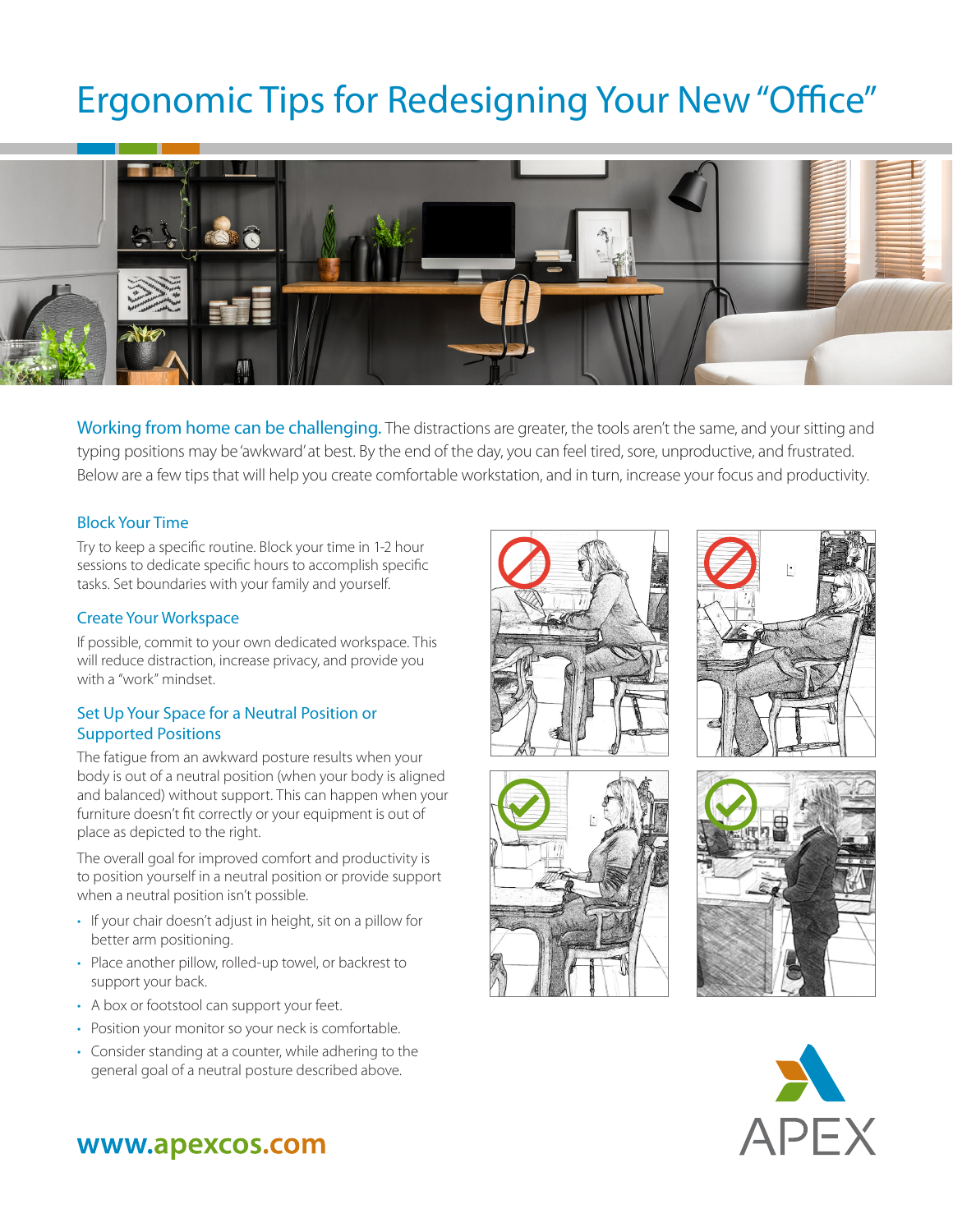# Ergonomic Tips for Redesigning Your New "Office"



Working from home can be challenging. The distractions are greater, the tools aren't the same, and your sitting and typing positions may be 'awkward' at best. By the end of the day, you can feel tired, sore, unproductive, and frustrated. Below are a few tips that will help you create comfortable workstation, and in turn, increase your focus and productivity.

## Block Your Time

Try to keep a specific routine. Block your time in 1-2 hour sessions to dedicate specific hours to accomplish specific tasks. Set boundaries with your family and yourself.

### Create Your Workspace

If possible, commit to your own dedicated workspace. This will reduce distraction, increase privacy, and provide you with a "work" mindset.

## Set Up Your Space for a Neutral Position or Supported Positions

The fatigue from an awkward posture results when your body is out of a neutral position (when your body is aligned and balanced) without support. This can happen when your furniture doesn't fit correctly or your equipment is out of place as depicted to the right.

The overall goal for improved comfort and productivity is to position yourself in a neutral position or provide support when a neutral position isn't possible.

- If your chair doesn't adjust in height, sit on a pillow for better arm positioning.
- Place another pillow, rolled-up towel, or backrest to support your back.
- A box or footstool can support your feet.
- Position your monitor so your neck is comfortable.
- Consider standing at a counter, while adhering to the general goal of a neutral posture described above.











# www.apexcos.com